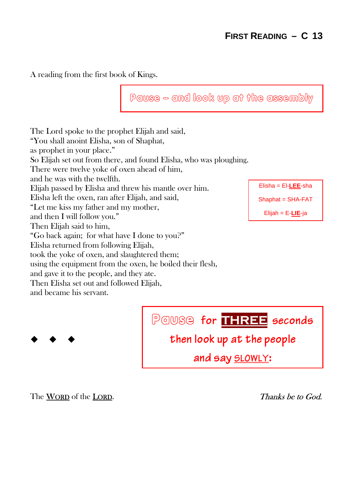A reading from the first book of Kings.

Pause – and look up at the assembly







The **WORD** of the **LORD**. Thanks be to God.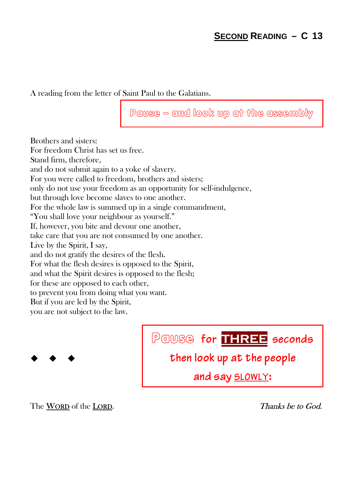## **SECOND READING – C 13**

A reading from the letter of Saint Paul to the Galatians.

Pause – and look up at the assembly

Brothers and sisters: For freedom Christ has set us free. Stand firm, therefore, and do not submit again to a yoke of slavery. For you were called to freedom, brothers and sisters; only do not use your freedom as an opportunity for self-indulgence, but through love become slaves to one another. For the whole law is summed up in a single commandment, "You shall love your neighbour as yourself." If, however, you bite and devour one another, take care that you are not consumed by one another. Live by the Spirit, I say, and do not gratify the desires of the flesh. For what the flesh desires is opposed to the Spirit, and what the Spirit desires is opposed to the flesh; for these are opposed to each other, to prevent you from doing what you want. But if you are led by the Spirit, you are not subject to the law.



|                            | POUSE for THREE seconds |
|----------------------------|-------------------------|
| then look up at the people |                         |
| and say SLOWLY:            |                         |

The WORD of the LORD. Thanks be to God.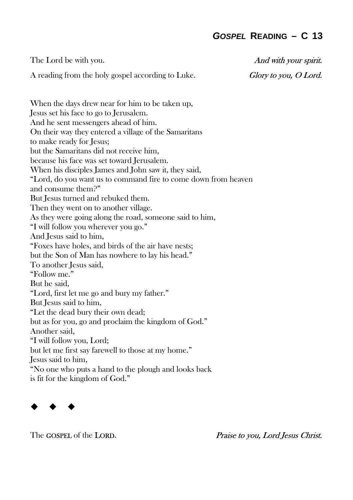## **GOSPEL READING – C 13**

The Lord be with you. And with your spirit. A reading from the holy gospel according to Luke. Glory to you, O Lord. When the days drew near for him to be taken up, Jesus set his face to go to Jerusalem. And he sent messengers ahead of him. On their way they entered a village of the Samaritans to make ready for Jesus; but the Samaritans did not receive him, because his face was set toward Jerusalem. When his disciples James and John saw it, they said, "Lord, do you want us to command fire to come down from heaven and consume them?" But Jesus turned and rebuked them. Then they went on to another village. As they were going along the road, someone said to him, "I will follow you wherever you go." And Jesus said to him, "Foxes have holes, and birds of the air have nests; but the Son of Man has nowhere to lay his head." To another Jesus said, "Follow me." But he said, "Lord, first let me go and bury my father." But Jesus said to him, "Let the dead bury their own dead; but as for you, go and proclaim the kingdom of God." Another said, "I will follow you, Lord; but let me first say farewell to those at my home." Jesus said to him, "No one who puts a hand to the plough and looks back is fit for the kingdom of God."

## $\qquad \qquad \bullet\quad \bullet\quad \bullet$

The GOSPEL of the LORD. *Praise to you, Lord Jesus Christ.*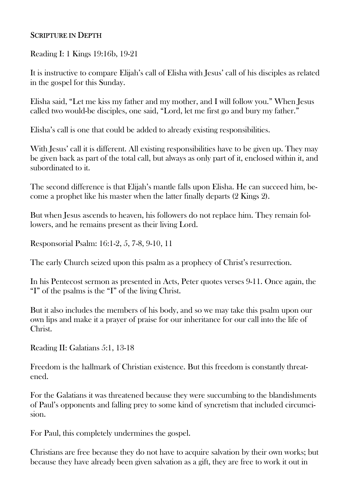## SCRIPTURE IN DEPTH

Reading I: 1 Kings 19:16b, 19-21

It is instructive to compare Elijah's call of Elisha with Jesus' call of his disciples as related in the gospel for this Sunday.

Elisha said, "Let me kiss my father and my mother, and I will follow you." When Jesus called two would-be disciples, one said, "Lord, let me first go and bury my father."

Elisha's call is one that could be added to already existing responsibilities.

With Jesus' call it is different. All existing responsibilities have to be given up. They may be given back as part of the total call, but always as only part of it, enclosed within it, and subordinated to it.

The second difference is that Elijah's mantle falls upon Elisha. He can succeed him, become a prophet like his master when the latter finally departs (2 Kings 2).

But when Jesus ascends to heaven, his followers do not replace him. They remain followers, and he remains present as their living Lord.

Responsorial Psalm: 16:1-2, 5, 7-8, 9-10, 11

The early Church seized upon this psalm as a prophecy of Christ's resurrection.

In his Pentecost sermon as presented in Acts, Peter quotes verses 9-11. Once again, the "I" of the psalms is the "I" of the living Christ.

But it also includes the members of his body, and so we may take this psalm upon our own lips and make it a prayer of praise for our inheritance for our call into the life of Christ.

Reading II: Galatians 5:1, 13-18

Freedom is the hallmark of Christian existence. But this freedom is constantly threatened.

For the Galatians it was threatened because they were succumbing to the blandishments of Paul's opponents and falling prey to some kind of syncretism that included circumcision.

For Paul, this completely undermines the gospel.

Christians are free because they do not have to acquire salvation by their own works; but because they have already been given salvation as a gift, they are free to work it out in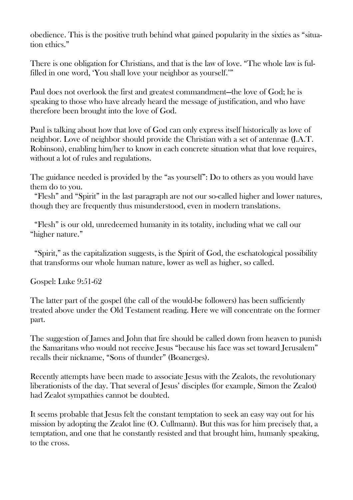obedience. This is the positive truth behind what gained popularity in the sixties as "situation ethics."

There is one obligation for Christians, and that is the law of love. "The whole law is fulfilled in one word, 'You shall love your neighbor as yourself.'"

Paul does not overlook the first and greatest commandment—the love of God; he is speaking to those who have already heard the message of justification, and who have therefore been brought into the love of God.

Paul is talking about how that love of God can only express itself historically as love of neighbor. Love of neighbor should provide the Christian with a set of antennae (J.A.T. Robinson), enabling him/her to know in each concrete situation what that love requires, without a lot of rules and regulations.

The guidance needed is provided by the "as yourself": Do to others as you would have them do to you.

 "Flesh" and "Spirit" in the last paragraph are not our so-called higher and lower natures, though they are frequently thus misunderstood, even in modern translations.

 "Flesh" is our old, unredeemed humanity in its totality, including what we call our "higher nature."

 "Spirit," as the capitalization suggests, is the Spirit of God, the eschatological possibility that transforms our whole human nature, lower as well as higher, so called.

Gospel: Luke 9:51-62

The latter part of the gospel (the call of the would-be followers) has been sufficiently treated above under the Old Testament reading. Here we will concentrate on the former part.

The suggestion of James and John that fire should be called down from heaven to punish the Samaritans who would not receive Jesus "because his face was set toward Jerusalem" recalls their nickname, "Sons of thunder" (Boanerges).

Recently attempts have been made to associate Jesus with the Zealots, the revolutionary liberationists of the day. That several of Jesus' disciples (for example, Simon the Zealot) had Zealot sympathies cannot be doubted.

It seems probable that Jesus felt the constant temptation to seek an easy way out for his mission by adopting the Zealot line (O. Cullmann). But this was for him precisely that, a temptation, and one that he constantly resisted and that brought him, humanly speaking, to the cross.